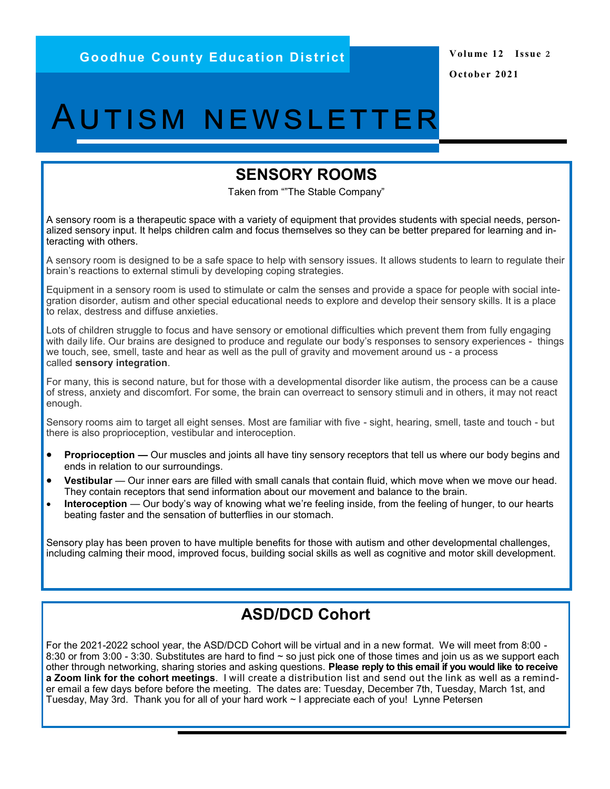# Autism newsletter

#### **SENSORY ROOMS**

Taken from ""The Stable Company"

A sensory room is a therapeutic space with a variety of equipment that provides students with special needs, personalized sensory input. It helps children calm and focus themselves so they can be better prepared for learning and interacting with others.

A sensory room is designed to be a safe space to help with sensory issues. It allows students to learn to regulate their brain's reactions to external stimuli by developing coping strategies.

Equipment in a sensory room is used to stimulate or calm the senses and provide a space for people with social integration disorder, autism and other special educational needs to explore and develop their sensory skills. It is a place to relax, destress and diffuse anxieties.

Lots of children struggle to focus and have sensory or emotional difficulties which prevent them from fully engaging with daily life. Our brains are designed to produce and regulate our body's responses to sensory experiences - things we touch, see, smell, taste and hear as well as the pull of gravity and movement around us - a process called **sensory integration**.

For many, this is second nature, but for those with a developmental disorder like autism, the process can be a cause of stress, anxiety and discomfort. For some, the brain can overreact to sensory stimuli and in others, it may not react enough.

Sensory rooms aim to target all eight senses. Most are familiar with five - sight, hearing, smell, taste and touch - but there is also proprioception, vestibular and interoception.

- **Proprioception —** Our muscles and joints all have tiny sensory receptors that tell us where our body begins and ends in relation to our surroundings.
- **Vestibular** Our inner ears are filled with small canals that contain fluid, which move when we move our head. They contain receptors that send information about our movement and balance to the brain.
- **Interoception** Our body's way of knowing what we're feeling inside, from the feeling of hunger, to our hearts beating faster and the sensation of butterflies in our stomach.

Sensory play has been proven to have multiple benefits for those with autism and other developmental challenges, including calming their mood, improved focus, building social skills as well as cognitive and motor skill development.

### **ASD/DCD Cohort**

For the 2021-2022 school year, the ASD/DCD Cohort will be virtual and in a new format. We will meet from 8:00 - 8:30 or from 3:00 - 3:30. Substitutes are hard to find  $\sim$  so just pick one of those times and join us as we support each other through networking, sharing stories and asking questions. **Please reply to this email if you would like to receive a Zoom link for the cohort meetings**. I will create a distribution list and send out the link as well as a reminder email a few days before before the meeting. The dates are: Tuesday, December 7th, Tuesday, March 1st, and Tuesday, May 3rd. Thank you for all of your hard work ~ I appreciate each of you! Lynne Petersen